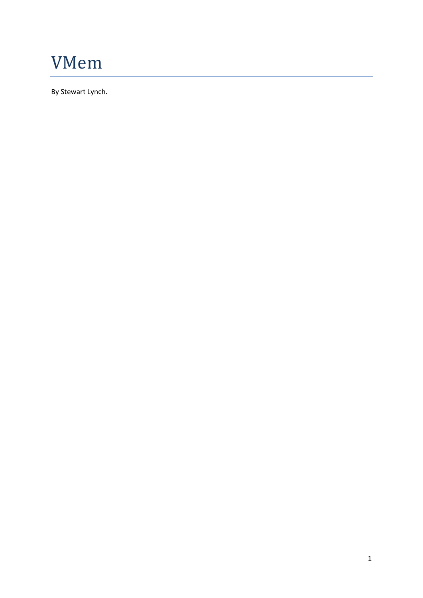

By Stewart Lynch.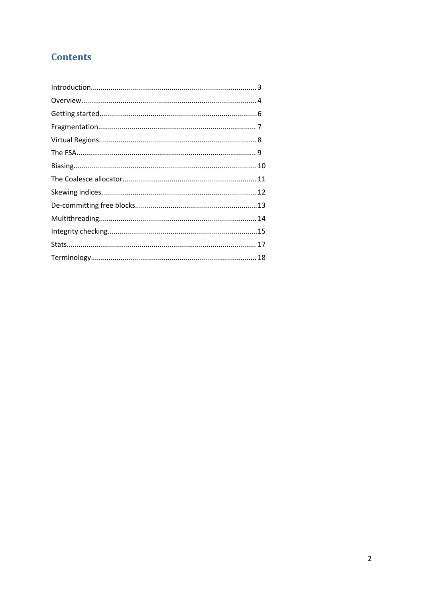# **Contents**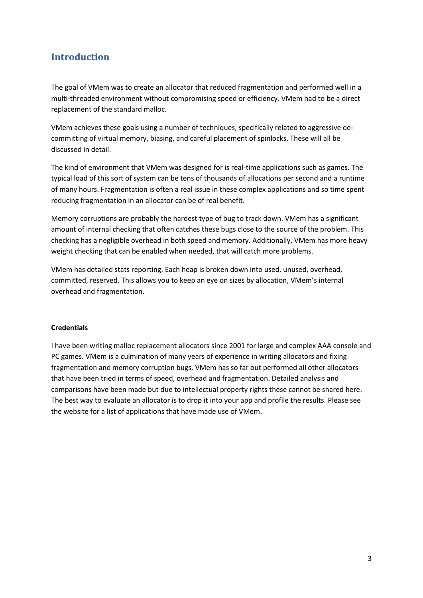## **Introduction**

The goal of VMem was to create an allocator that reduced fragmentation and performed well in a multi-threaded environment without compromising speed or efficiency. VMem had to be a direct replacement of the standard malloc.

VMem achieves these goals using a number of techniques, specifically related to aggressive decommitting of virtual memory, biasing, and careful placement of spinlocks. These will all be discussed in detail.

The kind of environment that VMem was designed for is real-time applications such as games. The typical load of this sort of system can be tens of thousands of allocations per second and a runtime of many hours. Fragmentation is often a real issue in these complex applications and so time spent reducing fragmentation in an allocator can be of real benefit.

Memory corruptions are probably the hardest type of bug to track down. VMem has a significant amount of internal checking that often catches these bugs close to the source of the problem. This checking has a negligible overhead in both speed and memory. Additionally, VMem has more heavy weight checking that can be enabled when needed, that will catch more problems.

VMem has detailed stats reporting. Each heap is broken down into used, unused, overhead, committed, reserved. This allows you to keep an eye on sizes by allocation, VMem's internal overhead and fragmentation.

#### **Credentials**

I have been writing malloc replacement allocators since 2001 for large and complex AAA console and PC games. VMem is a culmination of many years of experience in writing allocators and fixing fragmentation and memory corruption bugs. VMem has so far out performed all other allocators that have been tried in terms of speed, overhead and fragmentation. Detailed analysis and comparisons have been made but due to intellectual property rights these cannot be shared here. The best way to evaluate an allocator is to drop it into your app and profile the results. Please see the website for a list of applications that have made use of VMem.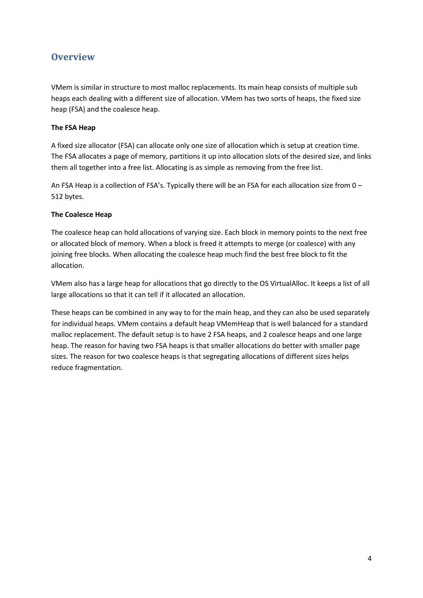## **Overview**

VMem is similar in structure to most malloc replacements. Its main heap consists of multiple sub heaps each dealing with a different size of allocation. VMem has two sorts of heaps, the fixed size heap (FSA) and the coalesce heap.

#### **The FSA Heap**

A fixed size allocator (FSA) can allocate only one size of allocation which is setup at creation time. The FSA allocates a page of memory, partitions it up into allocation slots of the desired size, and links them all together into a free list. Allocating is as simple as removing from the free list.

An FSA Heap is a collection of FSA's. Typically there will be an FSA for each allocation size from 0 – 512 bytes.

### **The Coalesce Heap**

The coalesce heap can hold allocations of varying size. Each block in memory points to the next free or allocated block of memory. When a block is freed it attempts to merge (or coalesce) with any joining free blocks. When allocating the coalesce heap much find the best free block to fit the allocation.

VMem also has a large heap for allocations that go directly to the OS VirtualAlloc. It keeps a list of all large allocations so that it can tell if it allocated an allocation.

These heaps can be combined in any way to for the main heap, and they can also be used separately for individual heaps. VMem contains a default heap VMemHeap that is well balanced for a standard malloc replacement. The default setup is to have 2 FSA heaps, and 2 coalesce heaps and one large heap. The reason for having two FSA heaps is that smaller allocations do better with smaller page sizes. The reason for two coalesce heaps is that segregating allocations of different sizes helps reduce fragmentation.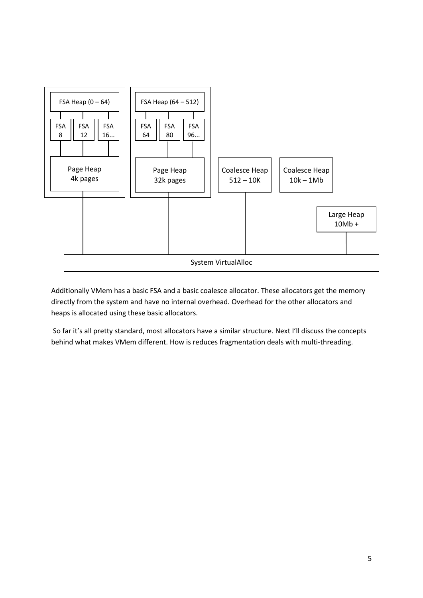

Additionally VMem has a basic FSA and a basic coalesce allocator. These allocators get the memory directly from the system and have no internal overhead. Overhead for the other allocators and heaps is allocated using these basic allocators.

So far it's all pretty standard, most allocators have a similar structure. Next I'll discuss the concepts behind what makes VMem different. How is reduces fragmentation deals with multi-threading.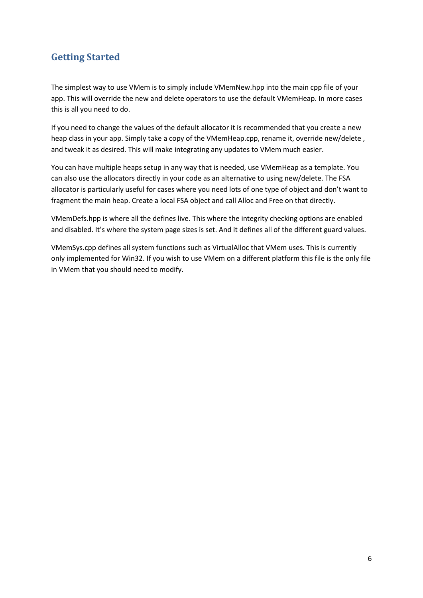## **Getting Started**

The simplest way to use VMem is to simply include VMemNew.hpp into the main cpp file of your app. This will override the new and delete operators to use the default VMemHeap. In more cases this is all you need to do.

If you need to change the values of the default allocator it is recommended that you create a new heap class in your app. Simply take a copy of the VMemHeap.cpp, rename it, override new/delete, and tweak it as desired. This will make integrating any updates to VMem much easier.

You can have multiple heaps setup in any way that is needed, use VMemHeap as a template. You can also use the allocators directly in your code as an alternative to using new/delete. The FSA allocator is particularly useful for cases where you need lots of one type of object and don't want to fragment the main heap. Create a local FSA object and call Alloc and Free on that directly.

VMemDefs.hpp is where all the defines live. This where the integrity checking options are enabled and disabled. It's where the system page sizes is set. And it defines all of the different guard values.

VMemSys.cpp defines all system functions such as VirtualAlloc that VMem uses. This is currently only implemented for Win32. If you wish to use VMem on a different platform this file is the only file in VMem that you should need to modify.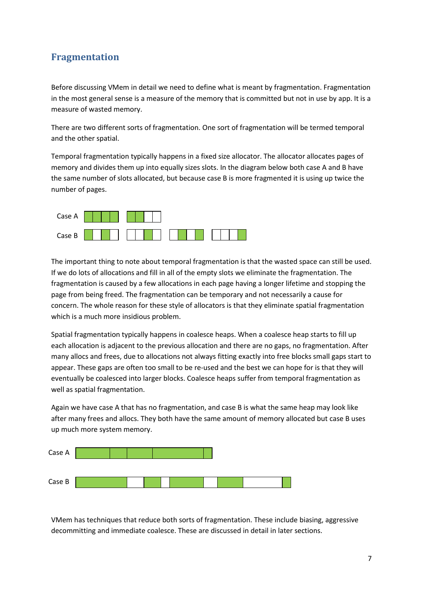## **Fragmentation**

Before discussing VMem in detail we need to define what is meant by fragmentation. Fragmentation in the most general sense is a measure of the memory that is committed but not in use by app. It is a measure of wasted memory.

There are two different sorts of fragmentation. One sort of fragmentation will be termed temporal and the other spatial.

Temporal fragmentation typically happens in a fixed size allocator. The allocator allocates pages of memory and divides them up into equally sizes slots. In the diagram below both case A and B have the same number of slots allocated, but because case B is more fragmented it is using up twice the number of pages.



The important thing to note about temporal fragmentation is that the wasted space can still be used. If we do lots of allocations and fill in all of the empty slots we eliminate the fragmentation. The fragmentation is caused by a few allocations in each page having a longer lifetime and stopping the page from being freed. The fragmentation can be temporary and not necessarily a cause for concern. The whole reason for these style of allocators is that they eliminate spatial fragmentation which is a much more insidious problem.

Spatial fragmentation typically happens in coalesce heaps. When a coalesce heap starts to fill up each allocation is adjacent to the previous allocation and there are no gaps, no fragmentation. After many allocs and frees, due to allocations not always fitting exactly into free blocks small gaps start to appear. These gaps are often too small to be re-used and the best we can hope for is that they will eventually be coalesced into larger blocks. Coalesce heaps suffer from temporal fragmentation as well as spatial fragmentation.

Again we have case A that has no fragmentation, and case B is what the same heap may look like after many frees and allocs. They both have the same amount of memory allocated but case B uses up much more system memory.



VMem has techniques that reduce both sorts of fragmentation. These include biasing, aggressive decommitting and immediate coalesce. These are discussed in detail in later sections.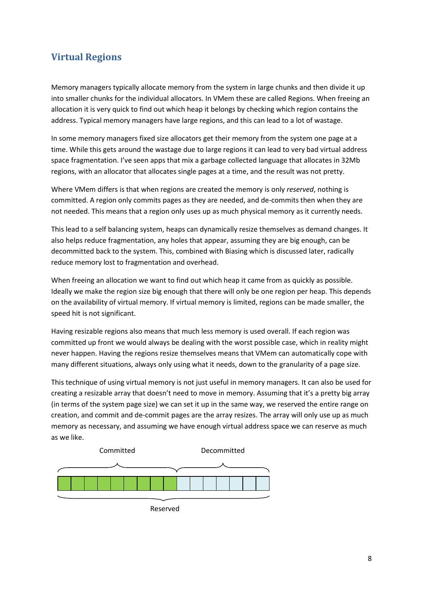## **Virtual Regions**

Memory managers typically allocate memory from the system in large chunks and then divide it up into smaller chunks for the individual allocators. In VMem these are called Regions. When freeing an allocation it is very quick to find out which heap it belongs by checking which region contains the address. Typical memory managers have large regions, and this can lead to a lot of wastage.

In some memory managers fixed size allocators get their memory from the system one page at a time. While this gets around the wastage due to large regions it can lead to very bad virtual address space fragmentation. I've seen apps that mix a garbage collected language that allocates in 32Mb regions, with an allocator that allocates single pages at a time, and the result was not pretty.

Where VMem differs is that when regions are created the memory is only *reserved*, nothing is committed. A region only commits pages as they are needed, and de-commits then when they are not needed. This means that a region only uses up as much physical memory as it currently needs.

This lead to a self balancing system, heaps can dynamically resize themselves as demand changes. It also helps reduce fragmentation, any holes that appear, assuming they are big enough, can be decommitted back to the system. This, combined with Biasing which is discussed later, radically reduce memory lost to fragmentation and overhead.

When freeing an allocation we want to find out which heap it came from as quickly as possible. Ideally we make the region size big enough that there will only be one region per heap. This depends on the availability of virtual memory. If virtual memory is limited, regions can be made smaller, the speed hit is not significant.

Having resizable regions also means that much less memory is used overall. If each region was committed up front we would always be dealing with the worst possible case, which in reality might never happen. Having the regions resize themselves means that VMem can automatically cope with many different situations, always only using what it needs, down to the granularity of a page size.

This technique of using virtual memory is not just useful in memory managers. It can also be used for creating a resizable array that doesn't need to move in memory. Assuming that it's a pretty big array (in terms of the system page size) we can set it up in the same way, we reserved the entire range on creation, and commit and de-commit pages are the array resizes. The array will only use up as much memory as necessary, and assuming we have enough virtual address space we can reserve as much as we like.



Reserved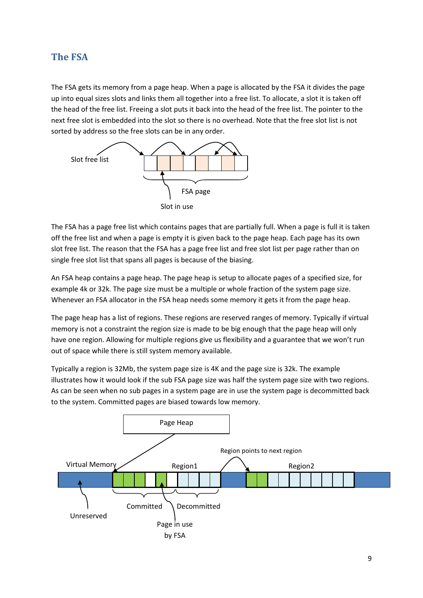### **The FSA**

The FSA gets its memory from a page heap. When a page is allocated by the FSA it divides the page up into equal sizes slots and links them all together into a free list. To allocate, a slot it is taken off the head of the free list. Freeing a slot puts it back into the head of the free list. The pointer to the next free slot is embedded into the slot so there is no overhead. Note that the free slot list is not sorted by address so the free slots can be in any order.



The FSA has a page free list which contains pages that are partially full. When a page is full it is taken off the free list and when a page is empty it is given back to the page heap. Each page has its own slot free list. The reason that the FSA has a page free list and free slot list per page rather than on single free slot list that spans all pages is because of the biasing.

An FSA heap contains a page heap. The page heap is setup to allocate pages of a specified size, for example 4k or 32k. The page size must be a multiple or whole fraction of the system page size. Whenever an FSA allocator in the FSA heap needs some memory it gets it from the page heap.

The page heap has a list of regions. These regions are reserved ranges of memory. Typically if virtual memory is not a constraint the region size is made to be big enough that the page heap will only have one region. Allowing for multiple regions give us flexibility and a guarantee that we won't run out of space while there is still system memory available.

Typically a region is 32Mb, the system page size is 4K and the page size is 32k. The example illustrates how it would look if the sub FSA page size was half the system page size with two regions. As can be seen when no sub pages in a system page are in use the system page is decommitted back to the system. Committed pages are biased towards low memory.

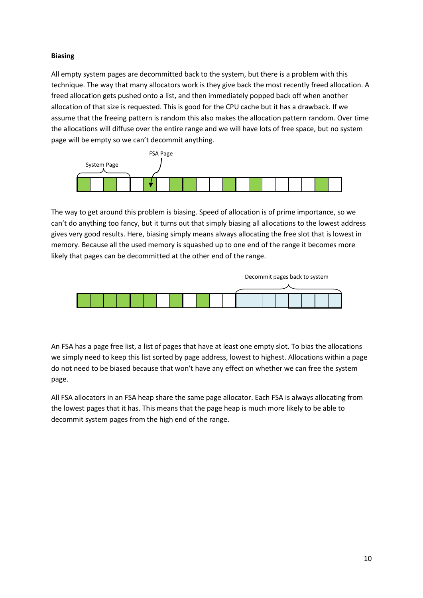### **Biasing**

All empty system pages are decommitted back to the system, but there is a problem with this technique. The way that many allocators work is they give back the most recently freed allocation. A freed allocation gets pushed onto a list, and then immediately popped back off when another allocation of that size is requested. This is good for the CPU cache but it has a drawback. If we assume that the freeing pattern is random this also makes the allocation pattern random. Over time the allocations will diffuse over the entire range and we will have lots of free space, but no system page will be empty so we can't decommit anything.



The way to get around this problem is biasing. Speed of allocation is of prime importance, so we can't do anything too fancy, but it turns out that simply biasing all allocations to the lowest address gives very good results. Here, biasing simply means always allocating the free slot that is lowest in memory. Because all the used memory is squashed up to one end of the range it becomes more likely that pages can be decommitted at the other end of the range.



An FSA has a page free list, a list of pages that have at least one empty slot. To bias the allocations we simply need to keep this list sorted by page address, lowest to highest. Allocations within a page do not need to be biased because that won't have any effect on whether we can free the system page.

All FSA allocators in an FSA heap share the same page allocator. Each FSA is always allocating from the lowest pages that it has. This means that the page heap is much more likely to be able to decommit system pages from the high end of the range.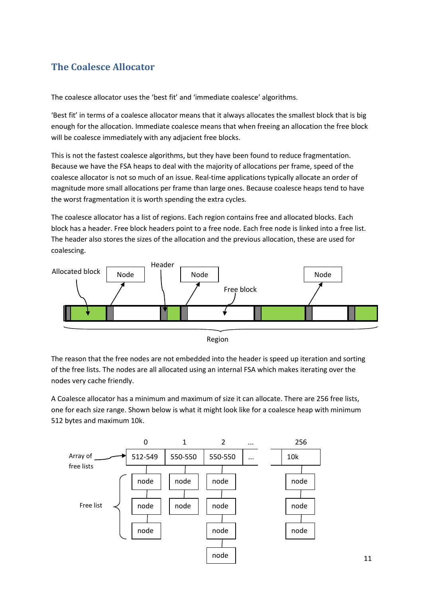## **The Coalesce Allocator**

The coalesce allocator uses the 'best fit' and 'immediate coalesce' algorithms.

'Best fit' in terms of a coalesce allocator means that it always allocates the smallest block that is big enough for the allocation. Immediate coalesce means that when freeing an allocation the free block will be coalesce immediately with any adjacient free blocks.

This is not the fastest coalesce algorithms, but they have been found to reduce fragmentation. Because we have the FSA heaps to deal with the majority of allocations per frame, speed of the coalesce allocator is not so much of an issue. Real-time applications typically allocate an order of magnitude more small allocations per frame than large ones. Because coalesce heaps tend to have the worst fragmentation it is worth spending the extra cycles.

The coalesce allocator has a list of regions. Each region contains free and allocated blocks. Each block has a header. Free block headers point to a free node. Each free node is linked into a free list. The header also stores the sizes of the allocation and the previous allocation, these are used for coalescing.





The reason that the free nodes are not embedded into the header is speed up iteration and sorting of the free lists. The nodes are all allocated using an internal FSA which makes iterating over the nodes very cache friendly.

A Coalesce allocator has a minimum and maximum of size it can allocate. There are 256 free lists, one for each size range. Shown below is what it might look like for a coalesce heap with minimum 512 bytes and maximum 10k.

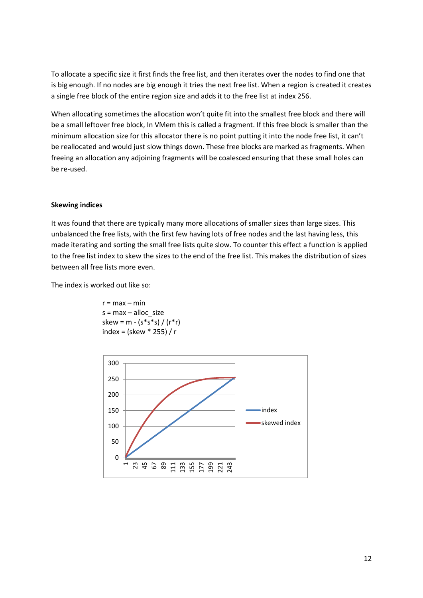To allocate a specific size it first finds the free list, and then iterates over the nodes to find one that is big enough. If no nodes are big enough it tries the next free list. When a region is created it creates a single free block of the entire region size and adds it to the free list at index 256.

When allocating sometimes the allocation won't quite fit into the smallest free block and there will be a small leftover free block, In VMem this is called a fragment. If this free block is smaller than the minimum allocation size for this allocator there is no point putting it into the node free list, it can't be reallocated and would just slow things down. These free blocks are marked as fragments. When freeing an allocation any adjoining fragments will be coalesced ensuring that these small holes can be re-used.

#### **Skewing indices**

It was found that there are typically many more allocations of smaller sizes than large sizes. This unbalanced the free lists, with the first few having lots of free nodes and the last having less, this made iterating and sorting the small free lists quite slow. To counter this effect a function is applied to the free list index to skew the sizes to the end of the free list. This makes the distribution of sizes between all free lists more even.

The index is worked out like so:

 $r = max - min$  $s = max - alloc$  size skew = m - (s\*s\*s) / (r\*r) index = (skew \* 255) / r

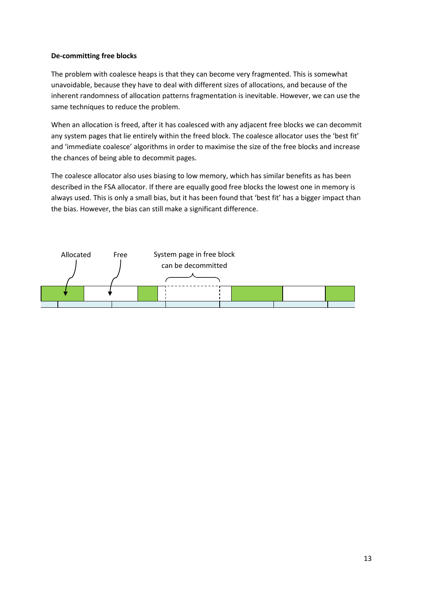#### **De-committing free blocks**

The problem with coalesce heaps is that they can become very fragmented. This is somewhat unavoidable, because they have to deal with different sizes of allocations, and because of the inherent randomness of allocation patterns fragmentation is inevitable. However, we can use the same techniques to reduce the problem.

When an allocation is freed, after it has coalesced with any adjacent free blocks we can decommit any system pages that lie entirely within the freed block. The coalesce allocator uses the 'best fit' and 'immediate coalesce' algorithms in order to maximise the size of the free blocks and increase the chances of being able to decommit pages.

The coalesce allocator also uses biasing to low memory, which has similar benefits as has been described in the FSA allocator. If there are equally good free blocks the lowest one in memory is always used. This is only a small bias, but it has been found that 'best fit' has a bigger impact than the bias. However, the bias can still make a significant difference.

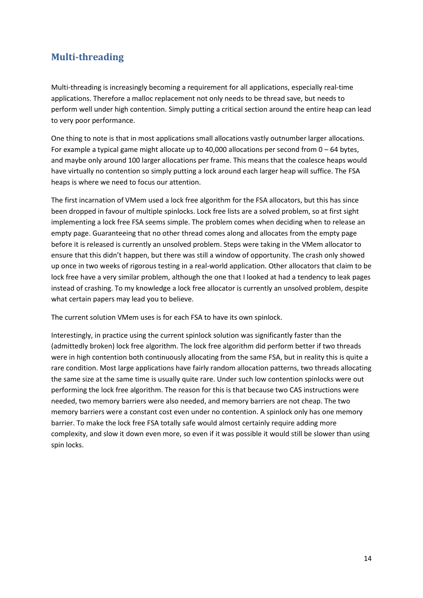## **Multi-threading**

Multi-threading is increasingly becoming a requirement for all applications, especially real-time applications. Therefore a malloc replacement not only needs to be thread save, but needs to perform well under high contention. Simply putting a critical section around the entire heap can lead to very poor performance.

One thing to note is that in most applications small allocations vastly outnumber larger allocations. For example a typical game might allocate up to 40,000 allocations per second from  $0 - 64$  bytes, and maybe only around 100 larger allocations per frame. This means that the coalesce heaps would have virtually no contention so simply putting a lock around each larger heap will suffice. The FSA heaps is where we need to focus our attention.

The first incarnation of VMem used a lock free algorithm for the FSA allocators, but this has since been dropped in favour of multiple spinlocks. Lock free lists are a solved problem, so at first sight implementing a lock free FSA seems simple. The problem comes when deciding when to release an empty page. Guaranteeing that no other thread comes along and allocates from the empty page before it is released is currently an unsolved problem. Steps were taking in the VMem allocator to ensure that this didn't happen, but there was still a window of opportunity. The crash only showed up once in two weeks of rigorous testing in a real-world application. Other allocators that claim to be lock free have a very similar problem, although the one that I looked at had a tendency to leak pages instead of crashing. To my knowledge a lock free allocator is currently an unsolved problem, despite what certain papers may lead you to believe.

The current solution VMem uses is for each FSA to have its own spinlock.

Interestingly, in practice using the current spinlock solution was significantly faster than the (admittedly broken) lock free algorithm. The lock free algorithm did perform better if two threads were in high contention both continuously allocating from the same FSA, but in reality this is quite a rare condition. Most large applications have fairly random allocation patterns, two threads allocating the same size at the same time is usually quite rare. Under such low contention spinlocks were out performing the lock free algorithm. The reason for this is that because two CAS instructions were needed, two memory barriers were also needed, and memory barriers are not cheap. The two memory barriers were a constant cost even under no contention. A spinlock only has one memory barrier. To make the lock free FSA totally safe would almost certainly require adding more complexity, and slow it down even more, so even if it was possible it would still be slower than using spin locks.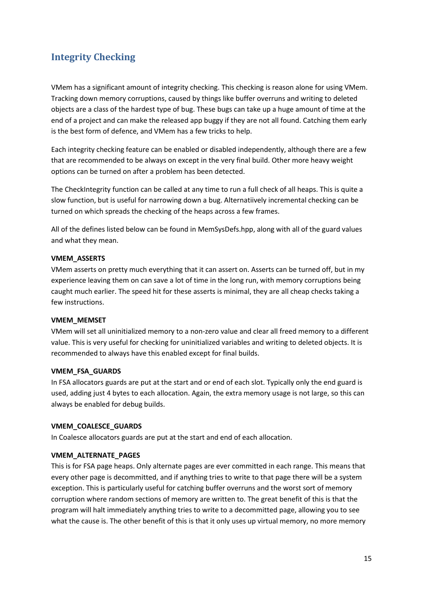## **Integrity Checking**

VMem has a significant amount of integrity checking. This checking is reason alone for using VMem. Tracking down memory corruptions, caused by things like buffer overruns and writing to deleted objects are a class of the hardest type of bug. These bugs can take up a huge amount of time at the end of a project and can make the released app buggy if they are not all found. Catching them early is the best form of defence, and VMem has a few tricks to help.

Each integrity checking feature can be enabled or disabled independently, although there are a few that are recommended to be always on except in the very final build. Other more heavy weight options can be turned on after a problem has been detected.

The CheckIntegrity function can be called at any time to run a full check of all heaps. This is quite a slow function, but is useful for narrowing down a bug. Alternatiively incremental checking can be turned on which spreads the checking of the heaps across a few frames.

All of the defines listed below can be found in MemSysDefs.hpp, along with all of the guard values and what they mean.

#### **VMEM\_ASSERTS**

VMem asserts on pretty much everything that it can assert on. Asserts can be turned off, but in my experience leaving them on can save a lot of time in the long run, with memory corruptions being caught much earlier. The speed hit for these asserts is minimal, they are all cheap checks taking a few instructions.

#### **VMEM\_MEMSET**

VMem will set all uninitialized memory to a non-zero value and clear all freed memory to a different value. This is very useful for checking for uninitialized variables and writing to deleted objects. It is recommended to always have this enabled except for final builds.

#### **VMEM\_FSA\_GUARDS**

In FSA allocators guards are put at the start and or end of each slot. Typically only the end guard is used, adding just 4 bytes to each allocation. Again, the extra memory usage is not large, so this can always be enabled for debug builds.

#### **VMEM\_COALESCE\_GUARDS**

In Coalesce allocators guards are put at the start and end of each allocation.

#### **VMEM\_ALTERNATE\_PAGES**

This is for FSA page heaps. Only alternate pages are ever committed in each range. This means that every other page is decommitted, and if anything tries to write to that page there will be a system exception. This is particularly useful for catching buffer overruns and the worst sort of memory corruption where random sections of memory are written to. The great benefit of this is that the program will halt immediately anything tries to write to a decommitted page, allowing you to see what the cause is. The other benefit of this is that it only uses up virtual memory, no more memory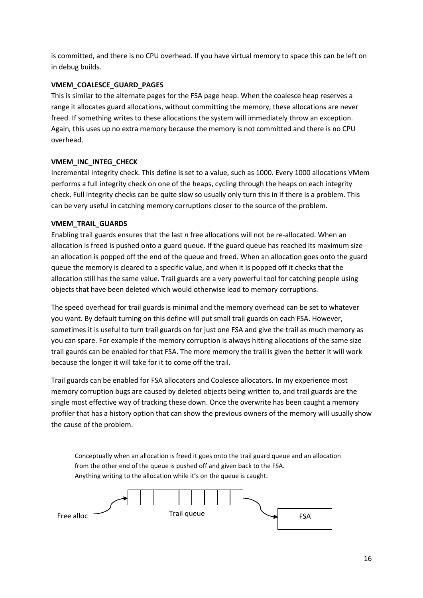is committed, and there is no CPU overhead. If you have virtual memory to space this can be left on in debug builds.

### **VMEM\_COALESCE\_GUARD\_PAGES**

This is similar to the alternate pages for the FSA page heap. When the coalesce heap reserves a range it allocates guard allocations, without committing the memory, these allocations are never freed. If something writes to these allocations the system will immediately throw an exception. Again, this uses up no extra memory because the memory is not committed and there is no CPU overhead.

### **VMEM\_INC\_INTEG\_CHECK**

Incremental integrity check. This define is set to a value, such as 1000. Every 1000 allocations VMem performs a full integrity check on one of the heaps, cycling through the heaps on each integrity check. Full integrity checks can be quite slow so usually only turn this in if there is a problem. This can be very useful in catching memory corruptions closer to the source of the problem.

### **VMEM\_TRAIL\_GUARDS**

Enabling trail guards ensures that the last *n* free allocations will not be re-allocated. When an allocation is freed is pushed onto a guard queue. If the guard queue has reached its maximum size an allocation is popped off the end of the queue and freed. When an allocation goes onto the guard queue the memory is cleared to a specific value, and when it is popped off it checks that the allocation still has the same value. Trail guards are a very powerful tool for catching people using objects that have been deleted which would otherwise lead to memory corruptions.

The speed overhead for trail guards is minimal and the memory overhead can be set to whatever you want. By default turning on this define will put small trail guards on each FSA. However, sometimes it is useful to turn trail guards on for just one FSA and give the trail as much memory as you can spare. For example if the memory corruption is always hitting allocations of the same size trail gaurds can be enabled for that FSA. The more memory the trail is given the better it will work because the longer it will take for it to come off the trail.

Trail guards can be enabled for FSA allocators and Coalesce allocators. In my experience most memory corruption bugs are caused by deleted objects being written to, and trail guards are the single most effective way of tracking these down. Once the overwrite has been caught a memory profiler that has a history option that can show the previous owners of the memory will usually show the cause of the problem.

Conceptually when an allocation is freed it goes onto the trail guard queue and an allocation from the other end of the queue is pushed off and given back to the FSA. Anything writing to the allocation while it's on the queue is caught.

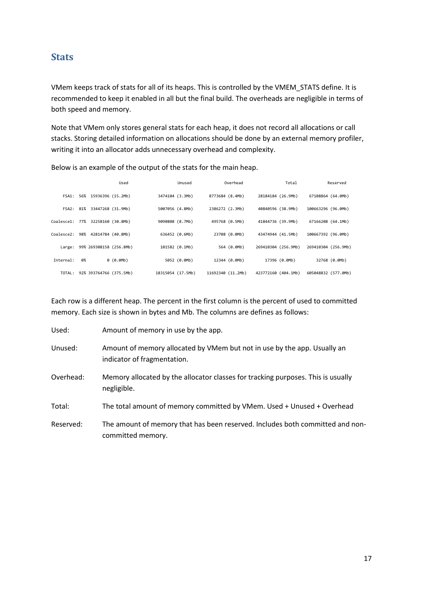### **Stats**

VMem keeps track of stats for all of its heaps. This is controlled by the VMEM\_STATS define. It is recommended to keep it enabled in all but the final build. The overheads are negligible in terms of both speed and memory.

Note that VMem only stores general stats for each heap, it does not record all allocations or call stacks. Storing detailed information on allocations should be done by an external memory profiler, writing it into an allocator adds unnecessary overhead and complexity.

 Used Unused Overhead Total Reserved FSA1: 56% 15936396 (15.2Mb) 3474104 (3.3Mb) 8773684 (8.4Mb) 28184184 (26.9Mb) 67108864 (64.0Mb) FSA2: 81% 33447268 (31.9Mb) 5007056 (4.8Mb) 2386272 (2.3Mb) 40840596 (38.9Mb) 100663296 (96.0Mb) Coalesce1: 77% 32258160 (30.8Mb) 9090808 (8.7Mb) 495768 (0.5Mb) 41844736 (39.9Mb) 67166208 (64.1Mb) Coalesce2: 98% 42814784 (40.8Mb) 636452 (0.6Mb) 23708 (0.0Mb) 43474944 (41.5Mb) 100667392 (96.0Mb) Large: 99% 269308158 (256.8Mb) 101582 (0.1Mb) 564 (0.0Mb) 269410304 (256.9Mb) 269410304 (256.9Mb) Internal: 0% 0 (0.0Mb) 5052 (0.0Mb) 12344 (0.0Mb) 17396 (0.0Mb) 32768 (0.0Mb) TOTAL: 92% 393764766 (375.5Mb) 18315054 (17.5Mb) 11692340 (11.2Mb) 423772160 (404.1Mb) 605048832 (577.0Mb)

Below is an example of the output of the stats for the main heap.

Each row is a different heap. The percent in the first column is the percent of used to committed memory. Each size is shown in bytes and Mb. The columns are defines as follows:

| Used:     | Amount of memory in use by the app.                                                                     |
|-----------|---------------------------------------------------------------------------------------------------------|
| Unused:   | Amount of memory allocated by VMem but not in use by the app. Usually an<br>indicator of fragmentation. |
| Overhead: | Memory allocated by the allocator classes for tracking purposes. This is usually<br>negligible.         |
| Total:    | The total amount of memory committed by VMem. Used + Unused + Overhead                                  |
| Reserved: | The amount of memory that has been reserved. Includes both committed and non-<br>committed memory.      |